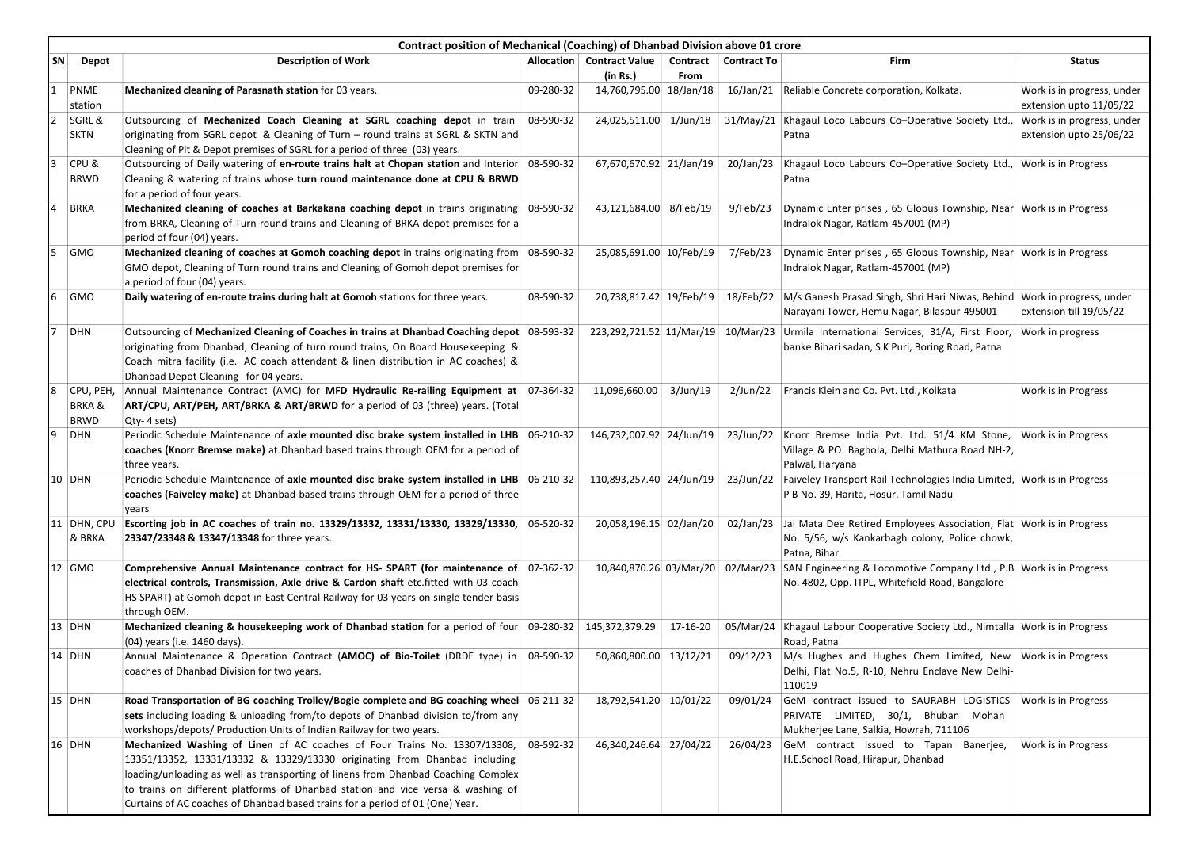|                | Contract position of Mechanical (Coaching) of Dhanbad Division above 01 crore |                                                                                                                                                                                                                                                                                                                                                                                                                 |           |                                                      |          |           |                                                                                                                                                                          |                                                       |  |  |  |
|----------------|-------------------------------------------------------------------------------|-----------------------------------------------------------------------------------------------------------------------------------------------------------------------------------------------------------------------------------------------------------------------------------------------------------------------------------------------------------------------------------------------------------------|-----------|------------------------------------------------------|----------|-----------|--------------------------------------------------------------------------------------------------------------------------------------------------------------------------|-------------------------------------------------------|--|--|--|
| SN             | Depot                                                                         | <b>Description of Work</b>                                                                                                                                                                                                                                                                                                                                                                                      |           | Allocation   Contract Value   Contract   Contract To |          |           | Firm                                                                                                                                                                     | <b>Status</b>                                         |  |  |  |
| $\mathbf{1}$   | PNME<br>station                                                               | Mechanized cleaning of Parasnath station for 03 years.                                                                                                                                                                                                                                                                                                                                                          | 09-280-32 | (in Rs.)<br>14,760,795.00 18/Jan/18                  | From     |           | 16/Jan/21 Reliable Concrete corporation, Kolkata.                                                                                                                        | Work is in progress, under<br>extension upto 11/05/22 |  |  |  |
| $\overline{2}$ | SGRL &<br><b>SKTN</b>                                                         | Outsourcing of Mechanized Coach Cleaning at SGRL coaching depot in train<br>originating from SGRL depot & Cleaning of Turn – round trains at SGRL & SKTN and<br>Cleaning of Pit & Depot premises of SGRL for a period of three (03) years.                                                                                                                                                                      | 08-590-32 | 24,025,511.00 1/Jun/18                               |          |           | 31/May/21 Khagaul Loco Labours Co-Operative Society Ltd.,<br>Patna                                                                                                       | Work is in progress, under<br>extension upto 25/06/22 |  |  |  |
| 3              | CPU &<br>BRWD                                                                 | Outsourcing of Daily watering of en-route trains halt at Chopan station and Interior<br>Cleaning & watering of trains whose turn round maintenance done at CPU & BRWD<br>for a period of four years.                                                                                                                                                                                                            | 08-590-32 | 67,670,670.92 21/Jan/19                              |          | 20/Jan/23 | Khagaul Loco Labours Co-Operative Society Ltd., Work is in Progress<br>Patna                                                                                             |                                                       |  |  |  |
| 4              | <b>BRKA</b>                                                                   | Mechanized cleaning of coaches at Barkakana coaching depot in trains originating<br>from BRKA, Cleaning of Turn round trains and Cleaning of BRKA depot premises for a<br>period of four (04) years.                                                                                                                                                                                                            | 08-590-32 | 43,121,684.00 8/Feb/19                               |          | 9/Feb/23  | Dynamic Enter prises, 65 Globus Township, Near Work is in Progress<br>Indralok Nagar, Ratlam-457001 (MP)                                                                 |                                                       |  |  |  |
| 5              | <b>GMO</b>                                                                    | Mechanized cleaning of coaches at Gomoh coaching depot in trains originating from 08-590-32<br>GMO depot, Cleaning of Turn round trains and Cleaning of Gomoh depot premises for<br>a period of four (04) years.                                                                                                                                                                                                |           | 25,085,691.00 10/Feb/19                              |          | 7/Feb/23  | Dynamic Enter prises, 65 Globus Township, Near Work is in Progress<br>Indralok Nagar, Ratlam-457001 (MP)                                                                 |                                                       |  |  |  |
| 6              | <b>GMO</b>                                                                    | Daily watering of en-route trains during halt at Gomoh stations for three years.                                                                                                                                                                                                                                                                                                                                | 08-590-32 | 20,738,817.42 19/Feb/19                              |          |           | 18/Feb/22 M/s Ganesh Prasad Singh, Shri Hari Niwas, Behind Work in progress, under<br>Narayani Tower, Hemu Nagar, Bilaspur-495001                                        | extension till 19/05/22                               |  |  |  |
| 7              | DHN                                                                           | Outsourcing of Mechanized Cleaning of Coaches in trains at Dhanbad Coaching depot   08-593-32<br>originating from Dhanbad, Cleaning of turn round trains, On Board Housekeeping &<br>Coach mitra facility (i.e. AC coach attendant & linen distribution in AC coaches) &<br>Dhanbad Depot Cleaning for 04 years.                                                                                                |           |                                                      |          |           | 223,292,721.52 11/Mar/19 10/Mar/23 Urmila International Services, 31/A, First Floor,<br>banke Bihari sadan, S K Puri, Boring Road, Patna                                 | Work in progress                                      |  |  |  |
| 8              | CPU, PEH<br><b>BRKA&amp;</b><br>BRWD                                          | Annual Maintenance Contract (AMC) for MFD Hydraulic Re-railing Equipment at 07-364-32<br>ART/CPU, ART/PEH, ART/BRKA & ART/BRWD for a period of 03 (three) years. (Total<br>Qty-4 sets)                                                                                                                                                                                                                          |           | 11,096,660.00 3/Jun/19                               |          |           | 2/Jun/22   Francis Klein and Co. Pvt. Ltd., Kolkata                                                                                                                      | Work is in Progress                                   |  |  |  |
| 9              | DHN                                                                           | Periodic Schedule Maintenance of axle mounted disc brake system installed in LHB 06-210-32<br>coaches (Knorr Bremse make) at Dhanbad based trains through OEM for a period of<br>three years.                                                                                                                                                                                                                   |           |                                                      |          |           | 146,732,007.92 24/Jun/19 23/Jun/22 Knorr Bremse India Pvt. Ltd. 51/4 KM Stone, Work is in Progress<br>Village & PO: Baghola, Delhi Mathura Road NH-2,<br>Palwal, Haryana |                                                       |  |  |  |
|                | 10 DHN                                                                        | Periodic Schedule Maintenance of axle mounted disc brake system installed in LHB 06-210-32<br>coaches (Faiveley make) at Dhanbad based trains through OEM for a period of three<br>years                                                                                                                                                                                                                        |           | 110,893,257.40 24/Jun/19                             |          | 23/Jun/22 | Faiveley Transport Rail Technologies India Limited, Work is in Progress<br>P B No. 39, Harita, Hosur, Tamil Nadu                                                         |                                                       |  |  |  |
|                | 11 DHN, CPU<br>& BRKA                                                         | Escorting job in AC coaches of train no. 13329/13332, 13331/13330, 13329/13330, 06-520-32<br>23347/23348 & 13347/13348 for three years.                                                                                                                                                                                                                                                                         |           | 20,058,196.15 02/Jan/20                              |          | 02/Jan/23 | Jai Mata Dee Retired Employees Association, Flat Work is in Progress<br>No. 5/56, w/s Kankarbagh colony, Police chowk,<br>Patna, Bihar                                   |                                                       |  |  |  |
|                | 12 GMO                                                                        | Comprehensive Annual Maintenance contract for HS- SPART (for maintenance of 07-362-32<br>electrical controls, Transmission, Axle drive & Cardon shaft etc.fitted with 03 coach<br>HS SPART) at Gomoh depot in East Central Railway for 03 years on single tender basis<br>through OEM.                                                                                                                          |           | 10,840,870.26 03/Mar/20 02/Mar/23                    |          |           | SAN Engineering & Locomotive Company Ltd., P.B Work is in Progress<br>No. 4802, Opp. ITPL, Whitefield Road, Bangalore                                                    |                                                       |  |  |  |
|                | 13 DHN                                                                        | Mechanized cleaning & housekeeping work of Dhanbad station for a period of four   09-280-32<br>(04) years (i.e. 1460 days).                                                                                                                                                                                                                                                                                     |           | 145,372,379.29                                       | 17-16-20 |           | 05/Mar/24   Khagaul Labour Cooperative Society Ltd., Nimtalla   Work is in Progress<br>Road, Patna                                                                       |                                                       |  |  |  |
|                | 14 DHN                                                                        | Annual Maintenance & Operation Contract (AMOC) of Bio-Toilet (DRDE type) in 08-590-32<br>coaches of Dhanbad Division for two years.                                                                                                                                                                                                                                                                             |           | 50,860,800.00 13/12/21                               |          | 09/12/23  | $M/s$ Hughes and Hughes Chem Limited, New Work is in Progress<br>Delhi, Flat No.5, R-10, Nehru Enclave New Delhi-<br>110019                                              |                                                       |  |  |  |
|                | $15$ DHN                                                                      | Road Transportation of BG coaching Trolley/Bogie complete and BG coaching wheel 06-211-32<br>sets including loading & unloading from/to depots of Dhanbad division to/from any<br>workshops/depots/ Production Units of Indian Railway for two years.                                                                                                                                                           |           | 18,792,541.20 10/01/22                               |          | 09/01/24  | GeM contract issued to SAURABH LOGISTICS Work is in Progress<br>PRIVATE LIMITED, 30/1, Bhuban Mohan<br>Mukherjee Lane, Salkia, Howrah, 711106                            |                                                       |  |  |  |
|                | 16 DHN                                                                        | Mechanized Washing of Linen of AC coaches of Four Trains No. 13307/13308,<br>13351/13352, 13331/13332 & 13329/13330 originating from Dhanbad including<br>loading/unloading as well as transporting of linens from Dhanbad Coaching Complex<br>to trains on different platforms of Dhanbad station and vice versa & washing of<br>Curtains of AC coaches of Dhanbad based trains for a period of 01 (One) Year. | 08-592-32 | 46,340,246.64 27/04/22                               |          | 26/04/23  | GeM contract issued to Tapan Banerjee,<br>H.E.School Road, Hirapur, Dhanbad                                                                                              | Work is in Progress                                   |  |  |  |